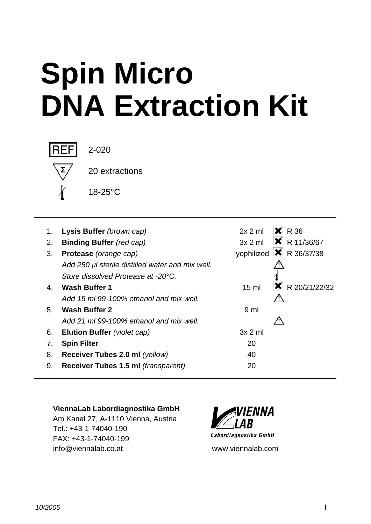# **Spin Micro DNA Extraction Kit**



2-020

20 extractions

18-25°C

| 1. | Lysis Buffer (brown cap)                         | 2x 2 m          | $\mathsf{X}$ R 36                               |
|----|--------------------------------------------------|-----------------|-------------------------------------------------|
| 2. | <b>Binding Buffer</b> (red cap)                  |                 | $3x 2$ ml $\bullet$ R 11/36/67                  |
| 3. | Protease (orange cap)                            |                 | lyophilized $\vert \mathbf{x} \vert$ R 36/37/38 |
|    | Add 250 µl sterile distilled water and mix well. |                 |                                                 |
|    | Store dissolved Protease at -20°C.               |                 |                                                 |
| 4. | <b>Wash Buffer 1</b>                             | $15 \text{ ml}$ | $\vert \mathbf{X} \vert$ R 20/21/22/32          |
|    | Add 15 ml 99-100% ethanol and mix well.          |                 |                                                 |
| 5. | <b>Wash Buffer 2</b>                             | 9 <sub>ml</sub> |                                                 |
|    | Add 21 ml 99-100% ethanol and mix well.          |                 |                                                 |
| 6. | Elution Buffer (violet cap)                      | $3x 2$ m        |                                                 |
| 7. | <b>Spin Filter</b>                               | 20              |                                                 |
| 8. | Receiver Tubes 2.0 ml (yellow)                   | 40              |                                                 |
| 9. | Receiver Tubes 1.5 ml (transparent)              | 20              |                                                 |
|    |                                                  |                 |                                                 |

## **ViennaLab Labordiagnostika GmbH**

Am Kanal 27, A-1110 Vienna, Austria Tel.: +43-1-74040-190 FAX: +43-1-74040-199 info@viennalab.co.at www.viennalab.com

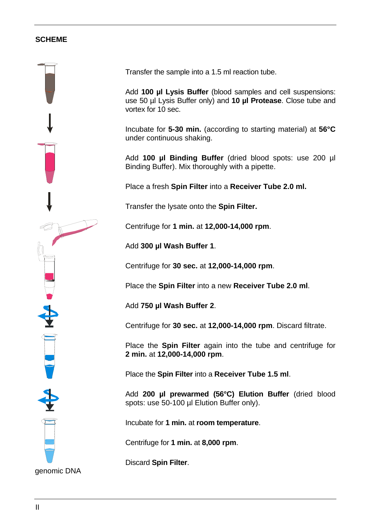#### **SCHEME**



Transfer the sample into a 1.5 ml reaction tube.

Add **100 µl Lysis Buffer** (blood samples and cell suspensions: use 50 µl Lysis Buffer only) and **10 µl Protease**. Close tube and vortex for 10 sec.

Incubate for **5-30 min.** (according to starting material) at **56°C** under continuous shaking.

Add **100 µl Binding Buffer** (dried blood spots: use 200 µl Binding Buffer). Mix thoroughly with a pipette.

Place a fresh **Spin Filter** into a **Receiver Tube 2.0 ml.**

Transfer the lysate onto the **Spin Filter.**

Centrifuge for **1 min.** at **12,000-14,000 rpm**.

Add **300 µl Wash Buffer 1**.

Centrifuge for **30 sec.** at **12,000-14,000 rpm**.

Place the **Spin Filter** into a new **Receiver Tube 2.0 ml**.

Add **750 µl Wash Buffer 2**.

Centrifuge for **30 sec.** at **12,000-14,000 rpm**. Discard filtrate.

Place the **Spin Filter** again into the tube and centrifuge for **2 min.** at **12,000-14,000 rpm**.

Place the **Spin Filter** into a **Receiver Tube 1.5 ml**.

Add **200 µl prewarmed (56°C) Elution Buffer** (dried blood spots: use 50-100 µl Elution Buffer only).

Incubate for **1 min.** at **room temperature**.

Centrifuge for **1 min.** at **8,000 rpm**.

Discard **Spin Filter**.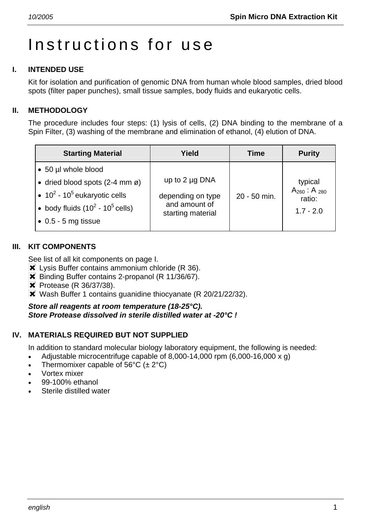# Instructions for use

# **I. INTENDED USE**

Kit for isolation and purification of genomic DNA from human whole blood samples, dried blood spots (filter paper punches), small tissue samples, body fluids and eukaryotic cells.

# **II. METHODOLOGY**

The procedure includes four steps: (1) lysis of cells, (2) DNA binding to the membrane of a Spin Filter, (3) washing of the membrane and elimination of ethanol, (4) elution of DNA.

| <b>Starting Material</b>                                                                                                                                                    | Yield                                                                          | Time         | <b>Purity</b>                                              |
|-----------------------------------------------------------------------------------------------------------------------------------------------------------------------------|--------------------------------------------------------------------------------|--------------|------------------------------------------------------------|
| • 50 µl whole blood<br>• dried blood spots $(2-4$ mm ø)<br>• $10^2$ - $10^5$ eukaryotic cells<br>• body fluids $(10^2 - 10^5 \text{ cells})$<br>$\bullet$ 0.5 - 5 mg tissue | up to $2 \mu g$ DNA<br>depending on type<br>and amount of<br>starting material | 20 - 50 min. | typical<br>$A_{260}$ : A $_{280}$<br>ratio:<br>$1.7 - 2.0$ |
|                                                                                                                                                                             |                                                                                |              |                                                            |

# **III. KIT COMPONENTS**

See list of all kit components on page I.

- **X** Lysis Buffer contains ammonium chloride (R 36).
- **X** Binding Buffer contains 2-propanol (R 11/36/67).
- **\*** Protease (R 36/37/38).
- **X** Wash Buffer 1 contains guanidine thiocyanate (R 20/21/22/32).

*Store all reagents at room temperature (18-25°C). Store Protease dissolved in sterile distilled water at -20°C !* 

# **IV. MATERIALS REQUIRED BUT NOT SUPPLIED**

In addition to standard molecular biology laboratory equipment, the following is needed:

- Adjustable microcentrifuge capable of 8,000-14,000 rpm  $(6,000-16,000 \times g)$
- Thermomixer capable of 56 $\degree$ C ( $\pm$  2 $\degree$ C)
- Vortex mixer
- 99-100% ethanol
- Sterile distilled water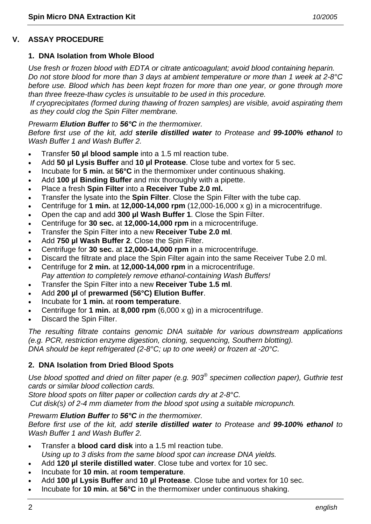# **V. ASSAY PROCEDURE**

#### **1. DNA Isolation from Whole Blood**

*Use fresh or frozen blood with EDTA or citrate anticoagulant; avoid blood containing heparin. Do not store blood for more than 3 days at ambient temperature or more than 1 week at 2-8°C before use. Blood which has been kept frozen for more than one year, or gone through more than three freeze-thaw cycles is unsuitable to be used in this procedure.* 

*If cryoprecipitates (formed during thawing of frozen samples) are visible, avoid aspirating them as they could clog the Spin Filter membrane.* 

#### *Prewarm Elution Buffer to 56°C in the thermomixer.*

*Before first use of the kit, add sterile distilled water to Protease and 99-100% ethanol to Wash Buffer 1 and Wash Buffer 2.* 

- Transfer **50 µl blood sample** into a 1.5 ml reaction tube.
- Add **50 µl Lysis Buffer** and **10 µl Protease**. Close tube and vortex for 5 sec.
- Incubate for **5 min.** at **56°C** in the thermomixer under continuous shaking.
- Add **100 µl Binding Buffer** and mix thoroughly with a pipette.
- Place a fresh **Spin Filter** into a **Receiver Tube 2.0 ml.**
- Transfer the lysate into the **Spin Filter**. Close the Spin Filter with the tube cap.
- Centrifuge for **1 min.** at **12,000-14,000 rpm** (12,000-16,000 x g) in a microcentrifuge.
- Open the cap and add **300 µl Wash Buffer 1**. Close the Spin Filter.
- Centrifuge for **30 sec.** at **12,000-14,000 rpm** in a microcentrifuge.
- Transfer the Spin Filter into a new **Receiver Tube 2.0 ml**.
- Add **750 µl Wash Buffer 2**. Close the Spin Filter.
- Centrifuge for **30 sec.** at **12,000-14,000 rpm** in a microcentrifuge.
- Discard the filtrate and place the Spin Filter again into the same Receiver Tube 2.0 ml.
- Centrifuge for **2 min.** at **12,000-14,000 rpm** in a microcentrifuge.  *Pay attention to completely remove ethanol-containing Wash Buffers!*
- Transfer the Spin Filter into a new **Receiver Tube 1.5 ml**.
- Add **200 µl** of **prewarmed (56°C) Elution Buffer**.
- Incubate for **1 min.** at **room temperature**.
- Centrifuge for **1 min.** at **8,000 rpm** (6,000 x g) in a microcentrifuge.
- Discard the Spin Filter.

*The resulting filtrate contains genomic DNA suitable for various downstream applications (e.g. PCR, restriction enzyme digestion, cloning, sequencing, Southern blotting). DNA should be kept refrigerated (2-8°C; up to one week) or frozen at -20°C.* 

## **2. DNA Isolation from Dried Blood Spots**

*Use blood spotted and dried on filter paper (e.g. 903® specimen collection paper), Guthrie test cards or similar blood collection cards.* 

*Store blood spots on filter paper or collection cards dry at 2-8°C.* 

*Cut disk(s) of 2-4 mm diameter from the blood spot using a suitable micropunch.* 

#### *Prewarm Elution Buffer to 56°C in the thermomixer.*

*Before first use of the kit, add sterile distilled water to Protease and 99-100% ethanol to Wash Buffer 1 and Wash Buffer 2.* 

- Transfer a **blood card disk** into a 1.5 ml reaction tube.  *Using up to 3 disks from the same blood spot can increase DNA yields.*
- Add **120 µl sterile distilled water**. Close tube and vortex for 10 sec.
- Incubate for **10 min.** at **room temperature**.
- Add **100 µl Lysis Buffer** and **10 µl Protease**. Close tube and vortex for 10 sec.
- Incubate for **10 min.** at **56°C** in the thermomixer under continuous shaking.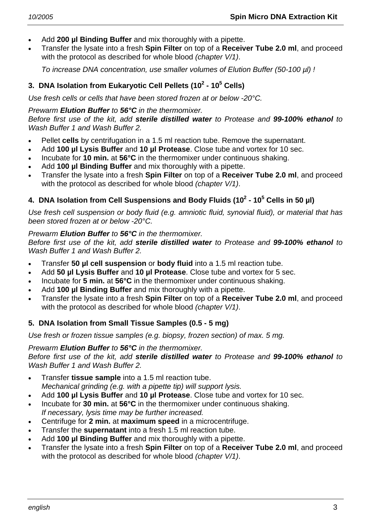- Add **200 µl Binding Buffer** and mix thoroughly with a pipette.
- Transfer the lysate into a fresh **Spin Filter** on top of a **Receiver Tube 2.0 ml**, and proceed with the protocol as described for whole blood *(chapter V/1)*.

 *To increase DNA concentration, use smaller volumes of Elution Buffer (50-100 µl) !* 

# **3. DNA Isolation from Eukaryotic Cell Pellets (10<sup>2</sup> - 10<sup>5</sup> Cells)**

*Use fresh cells or cells that have been stored frozen at or below -20°C.* 

*Prewarm Elution Buffer to 56°C in the thermomixer.* 

*Before first use of the kit, add sterile distilled water to Protease and 99-100% ethanol to Wash Buffer 1 and Wash Buffer 2.* 

- Pellet **cells** by centrifugation in a 1.5 ml reaction tube. Remove the supernatant.
- Add **100 µl Lysis Buffer** and **10 µl Protease**. Close tube and vortex for 10 sec.
- Incubate for **10 min.** at **56°C** in the thermomixer under continuous shaking.
- Add **100 µl Binding Buffer** and mix thoroughly with a pipette.
- Transfer the lysate into a fresh **Spin Filter** on top of a **Receiver Tube 2.0 ml**, and proceed with the protocol as described for whole blood *(chapter V/1)*.

# **4. DNA Isolation from Cell Suspensions and Body Fluids (10<sup>2</sup> - 10<sup>5</sup> Cells in 50 µl)**

*Use fresh cell suspension or body fluid (e.g. amniotic fluid, synovial fluid), or material that has been stored frozen at or below -20°C.* 

# *Prewarm Elution Buffer to 56°C in the thermomixer.*

*Before first use of the kit, add sterile distilled water to Protease and 99-100% ethanol to Wash Buffer 1 and Wash Buffer 2.* 

- Transfer **50 µl cell suspension** or **body fluid** into a 1.5 ml reaction tube.
- Add **50 µl Lysis Buffer** and **10 µl Protease**. Close tube and vortex for 5 sec.
- Incubate for **5 min.** at **56°C** in the thermomixer under continuous shaking.
- Add **100 µl Binding Buffer** and mix thoroughly with a pipette.
- Transfer the lysate into a fresh **Spin Filter** on top of a **Receiver Tube 2.0 ml**, and proceed with the protocol as described for whole blood *(chapter V/1)*.

# **5. DNA Isolation from Small Tissue Samples (0.5 - 5 mg)**

*Use fresh or frozen tissue samples (e.g. biopsy, frozen section) of max. 5 mg.* 

*Prewarm Elution Buffer to 56°C in the thermomixer.* 

*Before first use of the kit, add sterile distilled water to Protease and 99-100% ethanol to Wash Buffer 1 and Wash Buffer 2.* 

- Transfer **tissue sample** into a 1.5 ml reaction tube.  *Mechanical grinding (e.g. with a pipette tip) will support lysis.*
- Add **100 µl Lysis Buffer** and **10 µl Protease**. Close tube and vortex for 10 sec.
- Incubate for **30 min.** at **56°C** in the thermomixer under continuous shaking.  *If necessary, lysis time may be further increased.*
- Centrifuge for **2 min.** at **maximum speed** in a microcentrifuge.
- Transfer the **supernatant** into a fresh 1.5 ml reaction tube.
- Add **100 µl Binding Buffer** and mix thoroughly with a pipette.
- Transfer the lysate into a fresh **Spin Filter** on top of a **Receiver Tube 2.0 ml**, and proceed with the protocol as described for whole blood *(chapter V/1)*.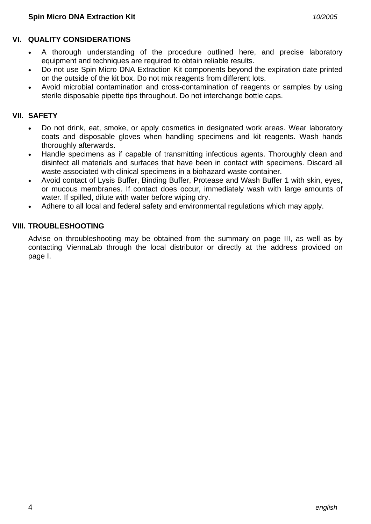# **VI. QUALITY CONSIDERATIONS**

- A thorough understanding of the procedure outlined here, and precise laboratory equipment and techniques are required to obtain reliable results.
- Do not use Spin Micro DNA Extraction Kit components beyond the expiration date printed on the outside of the kit box. Do not mix reagents from different lots.
- Avoid microbial contamination and cross-contamination of reagents or samples by using sterile disposable pipette tips throughout. Do not interchange bottle caps.

#### **VII. SAFETY**

- Do not drink, eat, smoke, or apply cosmetics in designated work areas. Wear laboratory coats and disposable gloves when handling specimens and kit reagents. Wash hands thoroughly afterwards.
- Handle specimens as if capable of transmitting infectious agents. Thoroughly clean and disinfect all materials and surfaces that have been in contact with specimens. Discard all waste associated with clinical specimens in a biohazard waste container.
- Avoid contact of Lysis Buffer, Binding Buffer, Protease and Wash Buffer 1 with skin, eyes, or mucous membranes. If contact does occur, immediately wash with large amounts of water. If spilled, dilute with water before wiping dry.
- Adhere to all local and federal safety and environmental regulations which may apply.

#### **VIII. TROUBLESHOOTING**

Advise on throubleshooting may be obtained from the summary on page III, as well as by contacting ViennaLab through the local distributor or directly at the address provided on page I.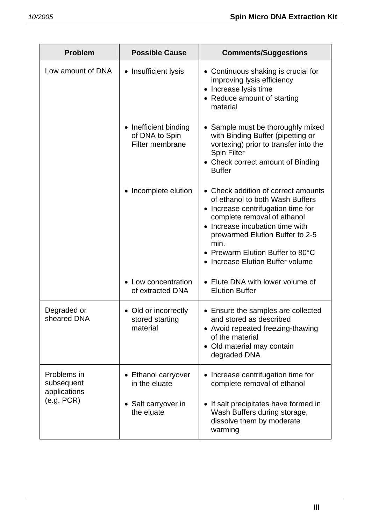| <b>Problem</b>                                          | <b>Possible Cause</b>                                                 | <b>Comments/Suggestions</b>                                                                                                                                                                                                                                                                     |
|---------------------------------------------------------|-----------------------------------------------------------------------|-------------------------------------------------------------------------------------------------------------------------------------------------------------------------------------------------------------------------------------------------------------------------------------------------|
| Low amount of DNA                                       | • Insufficient lysis                                                  | • Continuous shaking is crucial for<br>improving lysis efficiency<br>• Increase lysis time<br>• Reduce amount of starting<br>material                                                                                                                                                           |
|                                                         | • Inefficient binding<br>of DNA to Spin<br>Filter membrane            | • Sample must be thoroughly mixed<br>with Binding Buffer (pipetting or<br>vortexing) prior to transfer into the<br><b>Spin Filter</b><br>• Check correct amount of Binding<br><b>Buffer</b>                                                                                                     |
|                                                         | Incomplete elution                                                    | • Check addition of correct amounts<br>of ethanol to both Wash Buffers<br>• Increase centrifugation time for<br>complete removal of ethanol<br>• Increase incubation time with<br>prewarmed Elution Buffer to 2-5<br>min.<br>• Prewarm Elution Buffer to 80°C<br>Increase Elution Buffer volume |
|                                                         | Low concentration<br>of extracted DNA                                 | • Elute DNA with lower volume of<br><b>Elution Buffer</b>                                                                                                                                                                                                                                       |
| Degraded or<br>sheared DNA                              | • Old or incorrectly<br>stored starting<br>material                   | • Ensure the samples are collected<br>and stored as described<br>• Avoid repeated freezing-thawing<br>of the material<br>• Old material may contain<br>degraded DNA                                                                                                                             |
| Problems in<br>subsequent<br>applications<br>(e.g. PCR) | Ethanol carryover<br>in the eluate<br>Salt carryover in<br>the eluate | Increase centrifugation time for<br>$\bullet$<br>complete removal of ethanol<br>• If salt precipitates have formed in<br>Wash Buffers during storage,                                                                                                                                           |
|                                                         |                                                                       | dissolve them by moderate<br>warming                                                                                                                                                                                                                                                            |